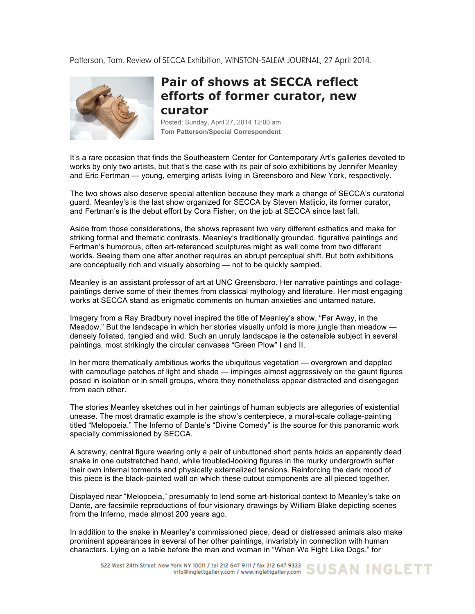Patterson, Tom. Review of SECCA Exhibition, WINSTON-SALEM JOURNAL, 27 April 2014.



## **Pair of shows at SECCA reflect efforts of former curator, new curator**

Posted: Sunday, April 27, 2014 12:00 am **Tom Patterson/Special Correspondent**

It's a rare occasion that finds the Southeastern Center for Contemporary Art's galleries devoted to works by only two artists, but that's the case with its pair of solo exhibitions by Jennifer Meanley and Eric Fertman — young, emerging artists living in Greensboro and New York, respectively.

The two shows also deserve special attention because they mark a change of SECCA's curatorial guard. Meanley's is the last show organized for SECCA by Steven Matijcio, its former curator, and Fertman's is the debut effort by Cora Fisher, on the job at SECCA since last fall.

Aside from those considerations, the shows represent two very different esthetics and make for striking formal and thematic contrasts. Meanley's traditionally grounded, figurative paintings and Fertman's humorous, often art-referenced sculptures might as well come from two different worlds. Seeing them one after another requires an abrupt perceptual shift. But both exhibitions are conceptually rich and visually absorbing — not to be quickly sampled.

Meanley is an assistant professor of art at UNC Greensboro. Her narrative paintings and collagepaintings derive some of their themes from classical mythology and literature. Her most engaging works at SECCA stand as enigmatic comments on human anxieties and untamed nature.

Imagery from a Ray Bradbury novel inspired the title of Meanley's show, "Far Away, in the Meadow." But the landscape in which her stories visually unfold is more jungle than meadow densely foliated, tangled and wild. Such an unruly landscape is the ostensible subject in several paintings, most strikingly the circular canvases "Green Plow" I and II.

In her more thematically ambitious works the ubiquitous vegetation — overgrown and dappled with camouflage patches of light and shade — impinges almost aggressively on the gaunt figures posed in isolation or in small groups, where they nonetheless appear distracted and disengaged from each other.

The stories Meanley sketches out in her paintings of human subjects are allegories of existential unease. The most dramatic example is the show's centerpiece, a mural-scale collage-painting titled "Melopoeia." The Inferno of Dante's "Divine Comedy" is the source for this panoramic work specially commissioned by SECCA.

A scrawny, central figure wearing only a pair of unbuttoned short pants holds an apparently dead snake in one outstretched hand, while troubled-looking figures in the murky undergrowth suffer their own internal torments and physically externalized tensions. Reinforcing the dark mood of this piece is the black-painted wall on which these cutout components are all pieced together.

Displayed near "Melopoeia," presumably to lend some art-historical context to Meanley's take on Dante, are facsimile reproductions of four visionary drawings by William Blake depicting scenes from the Inferno, made almost 200 years ago.

In addition to the snake in Meanley's commissioned piece, dead or distressed animals also make prominent appearances in several of her other paintings, invariably in connection with human characters. Lying on a table before the man and woman in "When We Fight Like Dogs," for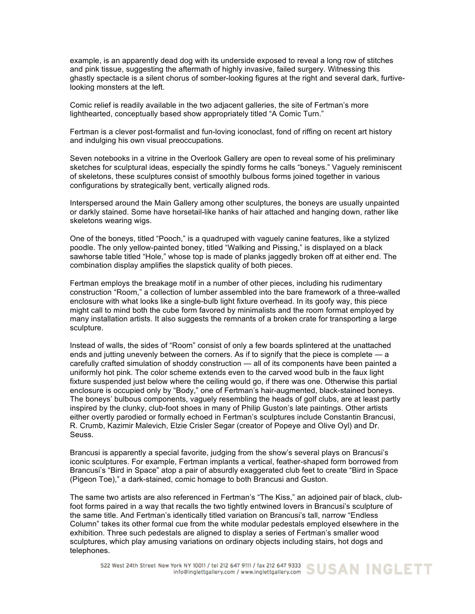example, is an apparently dead dog with its underside exposed to reveal a long row of stitches and pink tissue, suggesting the aftermath of highly invasive, failed surgery. Witnessing this ghastly spectacle is a silent chorus of somber-looking figures at the right and several dark, furtivelooking monsters at the left.

Comic relief is readily available in the two adjacent galleries, the site of Fertman's more lighthearted, conceptually based show appropriately titled "A Comic Turn."

Fertman is a clever post-formalist and fun-loving iconoclast, fond of riffing on recent art history and indulging his own visual preoccupations.

Seven notebooks in a vitrine in the Overlook Gallery are open to reveal some of his preliminary sketches for sculptural ideas, especially the spindly forms he calls "boneys." Vaguely reminiscent of skeletons, these sculptures consist of smoothly bulbous forms joined together in various configurations by strategically bent, vertically aligned rods.

Interspersed around the Main Gallery among other sculptures, the boneys are usually unpainted or darkly stained. Some have horsetail-like hanks of hair attached and hanging down, rather like skeletons wearing wigs.

One of the boneys, titled "Pooch," is a quadruped with vaguely canine features, like a stylized poodle. The only yellow-painted boney, titled "Walking and Pissing," is displayed on a black sawhorse table titled "Hole," whose top is made of planks jaggedly broken off at either end. The combination display amplifies the slapstick quality of both pieces.

Fertman employs the breakage motif in a number of other pieces, including his rudimentary construction "Room," a collection of lumber assembled into the bare framework of a three-walled enclosure with what looks like a single-bulb light fixture overhead. In its goofy way, this piece might call to mind both the cube form favored by minimalists and the room format employed by many installation artists. It also suggests the remnants of a broken crate for transporting a large sculpture.

Instead of walls, the sides of "Room" consist of only a few boards splintered at the unattached ends and jutting unevenly between the corners. As if to signify that the piece is complete — a carefully crafted simulation of shoddy construction — all of its components have been painted a uniformly hot pink. The color scheme extends even to the carved wood bulb in the faux light fixture suspended just below where the ceiling would go, if there was one. Otherwise this partial enclosure is occupied only by "Body," one of Fertman's hair-augmented, black-stained boneys. The boneys' bulbous components, vaguely resembling the heads of golf clubs, are at least partly inspired by the clunky, club-foot shoes in many of Philip Guston's late paintings. Other artists either overtly parodied or formally echoed in Fertman's sculptures include Constantin Brancusi, R. Crumb, Kazimir Malevich, Elzie Crisler Segar (creator of Popeye and Olive Oyl) and Dr. Seuss.

Brancusi is apparently a special favorite, judging from the show's several plays on Brancusi's iconic sculptures. For example, Fertman implants a vertical, feather-shaped form borrowed from Brancusi's "Bird in Space" atop a pair of absurdly exaggerated club feet to create "Bird in Space (Pigeon Toe)," a dark-stained, comic homage to both Brancusi and Guston.

The same two artists are also referenced in Fertman's "The Kiss," an adjoined pair of black, clubfoot forms paired in a way that recalls the two tightly entwined lovers in Brancusi's sculpture of the same title. And Fertman's identically titled variation on Brancusi's tall, narrow "Endless Column" takes its other formal cue from the white modular pedestals employed elsewhere in the exhibition. Three such pedestals are aligned to display a series of Fertman's smaller wood sculptures, which play amusing variations on ordinary objects including stairs, hot dogs and telephones.